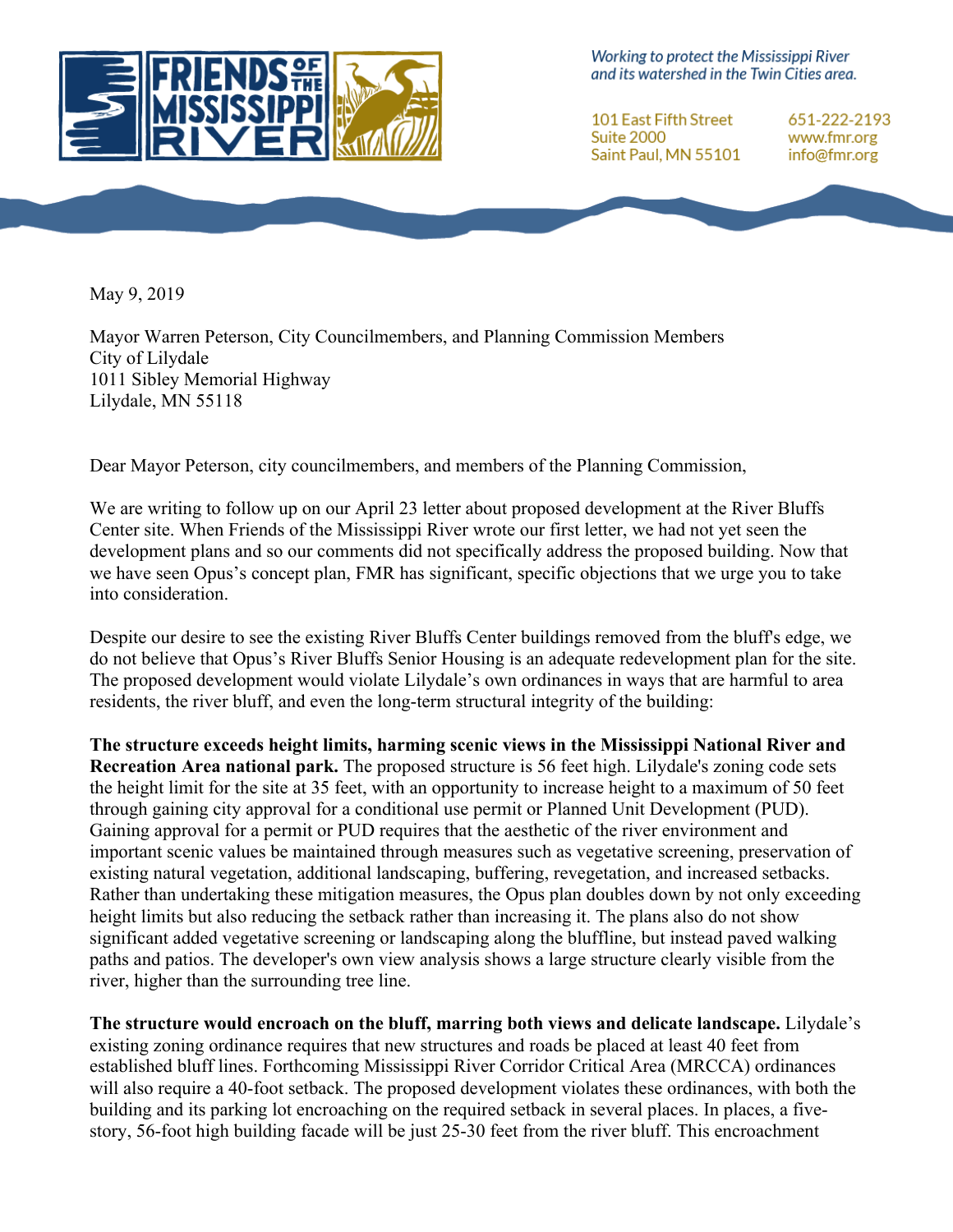

Working to protect the Mississippi River and its watershed in the Twin Cities area.

**101 East Fifth Street Suite 2000** Saint Paul, MN 55101

651-222-2193 www.fmr.org info@fmr.org

May 9, 2019

Mayor Warren Peterson, City Councilmembers, and Planning Commission Members City of Lilydale 1011 Sibley Memorial Highway Lilydale, MN 55118

Dear Mayor Peterson, city councilmembers, and members of the Planning Commission,

We are writing to follow up on our April 23 letter about proposed development at the River Bluffs Center site. When Friends of the Mississippi River wrote our first letter, we had not yet seen the development plans and so our comments did not specifically address the proposed building. Now that we have seen Opus's concept plan, FMR has significant, specific objections that we urge you to take into consideration.

Despite our desire to see the existing River Bluffs Center buildings removed from the bluff's edge, we do not believe that Opus's River Bluffs Senior Housing is an adequate redevelopment plan for the site. The proposed development would violate Lilydale's own ordinances in ways that are harmful to area residents, the river bluff, and even the long-term structural integrity of the building:

**The structure exceeds height limits, harming scenic views in the Mississippi National River and Recreation Area national park.** The proposed structure is 56 feet high. Lilydale's zoning code sets the height limit for the site at 35 feet, with an opportunity to increase height to a maximum of 50 feet through gaining city approval for a conditional use permit or Planned Unit Development (PUD). Gaining approval for a permit or PUD requires that the aesthetic of the river environment and important scenic values be maintained through measures such as vegetative screening, preservation of existing natural vegetation, additional landscaping, buffering, revegetation, and increased setbacks. Rather than undertaking these mitigation measures, the Opus plan doubles down by not only exceeding height limits but also reducing the setback rather than increasing it. The plans also do not show significant added vegetative screening or landscaping along the bluffline, but instead paved walking paths and patios. The developer's own view analysis shows a large structure clearly visible from the river, higher than the surrounding tree line.

**The structure would encroach on the bluff, marring both views and delicate landscape.** Lilydale's existing zoning ordinance requires that new structures and roads be placed at least 40 feet from established bluff lines. Forthcoming Mississippi River Corridor Critical Area (MRCCA) ordinances will also require a 40-foot setback. The proposed development violates these ordinances, with both the building and its parking lot encroaching on the required setback in several places. In places, a fivestory, 56-foot high building facade will be just 25-30 feet from the river bluff. This encroachment